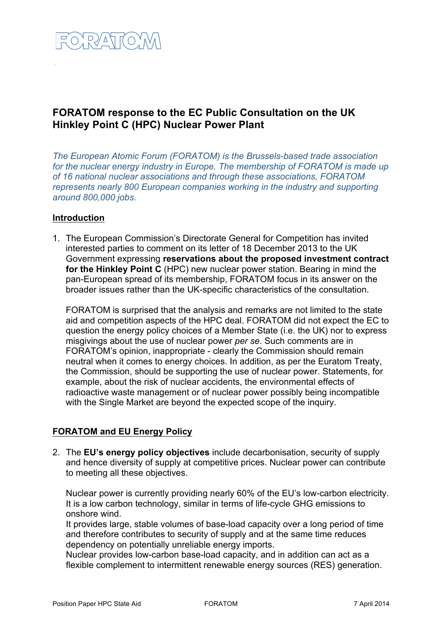

# **FORATOM response to the EC Public Consultation on the UK Hinkley Point C (HPC) Nuclear Power Plant**

*The European Atomic Forum (FORATOM) is the Brussels-based trade association for the nuclear energy industry in Europe. The membership of FORATOM is made up of 16 national nuclear associations and through these associations, FORATOM represents nearly 800 European companies working in the industry and supporting around 800,000 jobs.* 

### **Introduction**

1. The European Commission's Directorate General for Competition has invited interested parties to comment on its letter of 18 December 2013 to the UK Government expressing **reservations about the proposed investment contract for the Hinkley Point C** (HPC) new nuclear power station. Bearing in mind the pan-European spread of its membership, FORATOM focus in its answer on the broader issues rather than the UK-specific characteristics of the consultation.

FORATOM is surprised that the analysis and remarks are not limited to the state aid and competition aspects of the HPC deal. FORATOM did not expect the EC to question the energy policy choices of a Member State (i.e. the UK) nor to express misgivings about the use of nuclear power *per se*. Such comments are in FORATOM's opinion, inappropriate - clearly the Commission should remain neutral when it comes to energy choices. In addition, as per the Euratom Treaty, the Commission, should be supporting the use of nuclear power. Statements, for example, about the risk of nuclear accidents, the environmental effects of radioactive waste management or of nuclear power possibly being incompatible with the Single Market are beyond the expected scope of the inquiry.

## **FORATOM and EU Energy Policy**

2. The **EU's energy policy objectives** include decarbonisation, security of supply and hence diversity of supply at competitive prices. Nuclear power can contribute to meeting all these objectives.

Nuclear power is currently providing nearly 60% of the EU's low-carbon electricity. It is a low carbon technology, similar in terms of life-cycle GHG emissions to onshore wind.

It provides large, stable volumes of base-load capacity over a long period of time and therefore contributes to security of supply and at the same time reduces dependency on potentially unreliable energy imports.

Nuclear provides low-carbon base-load capacity, and in addition can act as a flexible complement to intermittent renewable energy sources (RES) generation.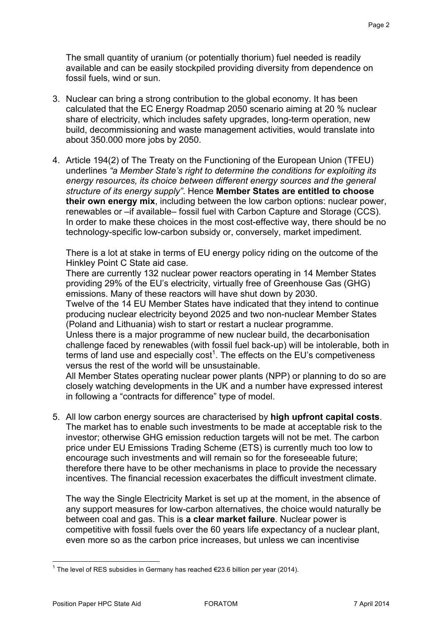The small quantity of uranium (or potentially thorium) fuel needed is readily available and can be easily stockpiled providing diversity from dependence on fossil fuels, wind or sun.

- 3. Nuclear can bring a strong contribution to the global economy. It has been calculated that the EC Energy Roadmap 2050 scenario aiming at 20 % nuclear share of electricity, which includes safety upgrades, long-term operation, new build, decommissioning and waste management activities, would translate into about 350.000 more jobs by 2050.
- 4. Article 194(2) of The Treaty on the Functioning of the European Union (TFEU) underlines *"a Member State's right to determine the conditions for exploiting its energy resources, its choice between different energy sources and the general structure of its energy supply"*. Hence **Member States are entitled to choose their own energy mix**, including between the low carbon options: nuclear power, renewables or –if available– fossil fuel with Carbon Capture and Storage (CCS). In order to make these choices in the most cost-effective way, there should be no technology-specific low-carbon subsidy or, conversely, market impediment.

There is a lot at stake in terms of EU energy policy riding on the outcome of the Hinkley Point C State aid case.

There are currently 132 nuclear power reactors operating in 14 Member States providing 29% of the EU's electricity, virtually free of Greenhouse Gas (GHG) emissions. Many of these reactors will have shut down by 2030.

Twelve of the 14 EU Member States have indicated that they intend to continue producing nuclear electricity beyond 2025 and two non-nuclear Member States (Poland and Lithuania) wish to start or restart a nuclear programme.

Unless there is a major programme of new nuclear build, the decarbonisation challenge faced by renewables (with fossil fuel back-up) will be intolerable, both in terms of land use and especially  $cost<sup>1</sup>$ . The effects on the EU's competiveness versus the rest of the world will be unsustainable.

All Member States operating nuclear power plants (NPP) or planning to do so are closely watching developments in the UK and a number have expressed interest in following a "contracts for difference" type of model.

5. All low carbon energy sources are characterised by **high upfront capital costs**. The market has to enable such investments to be made at acceptable risk to the investor; otherwise GHG emission reduction targets will not be met. The carbon price under EU Emissions Trading Scheme (ETS) is currently much too low to encourage such investments and will remain so for the foreseeable future; therefore there have to be other mechanisms in place to provide the necessary incentives. The financial recession exacerbates the difficult investment climate.

The way the Single Electricity Market is set up at the moment, in the absence of any support measures for low-carbon alternatives, the choice would naturally be between coal and gas. This is **a clear market failure**. Nuclear power is competitive with fossil fuels over the 60 years life expectancy of a nuclear plant, even more so as the carbon price increases, but unless we can incentivise

<sup>&</sup>lt;sup>1</sup> The level of RES subsidies in Germany has reached €23.6 billion per year (2014).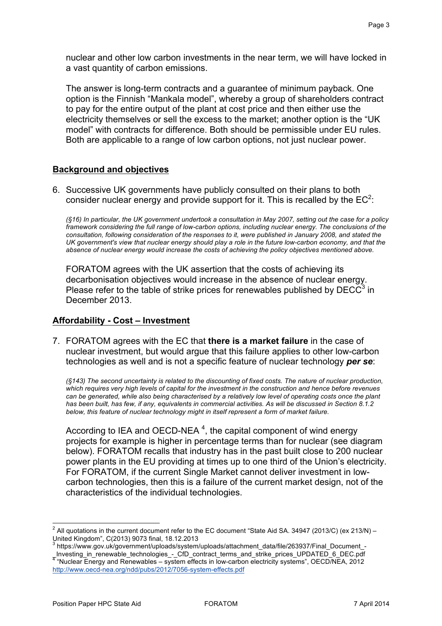nuclear and other low carbon investments in the near term, we will have locked in a vast quantity of carbon emissions.

The answer is long-term contracts and a guarantee of minimum payback. One option is the Finnish "Mankala model", whereby a group of shareholders contract to pay for the entire output of the plant at cost price and then either use the electricity themselves or sell the excess to the market; another option is the "UK model" with contracts for difference. Both should be permissible under EU rules. Both are applicable to a range of low carbon options, not just nuclear power.

## **Background and objectives**

6. Successive UK governments have publicly consulted on their plans to both consider nuclear energy and provide support for it. This is recalled by the  $EC^2$ .

*(§16) In particular, the UK government undertook a consultation in May 2007, setting out the case for a policy framework considering the full range of low-carbon options, including nuclear energy. The conclusions of the consultation, following consideration of the responses to it, were published in January 2008, and stated the UK government's view that nuclear energy should play a role in the future low-carbon economy, and that the absence of nuclear energy would increase the costs of achieving the policy objectives mentioned above.*

FORATOM agrees with the UK assertion that the costs of achieving its decarbonisation objectives would increase in the absence of nuclear energy. Please refer to the table of strike prices for renewables published by  $DEC^3$  in December 2013.

#### **Affordability - Cost – Investment**

7. FORATOM agrees with the EC that **there is a market failure** in the case of nuclear investment, but would argue that this failure applies to other low-carbon technologies as well and is not a specific feature of nuclear technology *per se*:

*(§143) The second uncertainty is related to the discounting of fixed costs. The nature of nuclear production, which requires very high levels of capital for the investment in the construction and hence before revenues can be generated, while also being characterised by a relatively low level of operating costs once the plant has been built, has few, if any, equivalents in commercial activities. As will be discussed in Section 8.1.2 below, this feature of nuclear technology might in itself represent a form of market failure.* 

According to IEA and OECD-NEA<sup>4</sup>, the capital component of wind energy projects for example is higher in percentage terms than for nuclear (see diagram below). FORATOM recalls that industry has in the past built close to 200 nuclear power plants in the EU providing at times up to one third of the Union's electricity. For FORATOM, if the current Single Market cannot deliver investment in lowcarbon technologies, then this is a failure of the current market design, not of the characteristics of the individual technologies.

 $\overline{a}$ <sup>2</sup> All quotations in the current document refer to the EC document "State Aid SA. 34947 (2013/C) (ex 213/N) – United Kingdom", C(2013) 9073 final, 18.12.2013

https://www.gov.uk/government/uploads/system/uploads/attachment\_data/file/263937/Final\_Document\_-\_Investing\_in\_renewable\_technologies\_-\_CfD\_contract\_terms\_and\_strike\_prices\_UPDATED\_6\_DEC.pdf 4 "Nuclear Energy and Renewables – system effects in low-carbon electricity systems", OECD/NEA, 2012 http://www.oecd-nea.org/ndd/pubs/2012/7056-system-effects.pdf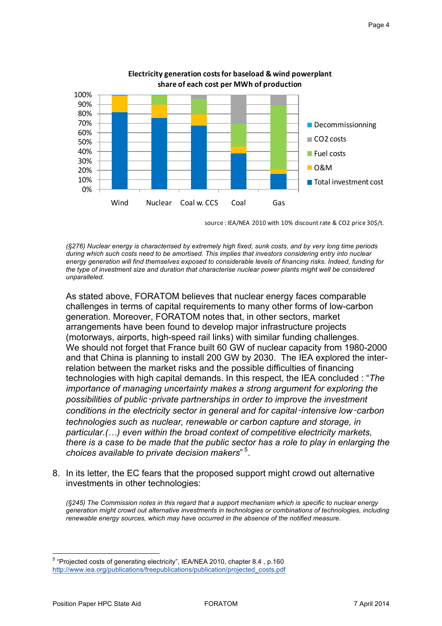

Electricity generation costs for baseload & wind powerplant

source : IEA/NEA 2010 with 10% discount rate & CO2 price 30\$/t.

*(§276) Nuclear energy is characterised by extremely high fixed, sunk costs, and by very long time periods during which such costs need to be amortised. This implies that investors considering entry into nuclear energy generation will find themselves exposed to considerable levels of financing risks. Indeed, funding for the type of investment size and duration that characterise nuclear power plants might well be considered unparalleled.*

As stated above, FORATOM believes that nuclear energy faces comparable challenges in terms of capital requirements to many other forms of low-carbon generation. Moreover, FORATOM notes that, in other sectors, market arrangements have been found to develop major infrastructure projects (motorways, airports, high-speed rail links) with similar funding challenges. We should not forget that France built 60 GW of nuclear capacity from 1980-2000 and that China is planning to install 200 GW by 2030. The IEA explored the interrelation between the market risks and the possible difficulties of financing technologies with high capital demands. In this respect, the IEA concluded : "*The importance of managing uncertainty makes a strong argument for exploring the possibilities of public*‑*private partnerships in order to improve the investment conditions in the electricity sector in general and for capital*‑*intensive low*‑*carbon technologies such as nuclear, renewable or carbon capture and storage, in particular.(…) even within the broad context of competitive electricity markets, there is a case to be made that the public sector has a role to play in enlarging the*  choices available to private decision makers"<sup>5</sup>.

8. In its letter, the EC fears that the proposed support might crowd out alternative investments in other technologies:

*(§245) The Commission notes in this regard that a support mechanism which is specific to nuclear energy generation might crowd out alternative investments in technologies or combinations of technologies, including renewable energy sources, which may have occurred in the absence of the notified measure.*

<sup>5</sup> "Projected costs of generating electricity", IEA/NEA 2010, chapter 8.4 , p.160 http://www.iea.org/publications/freepublications/publication/projected\_costs.pdf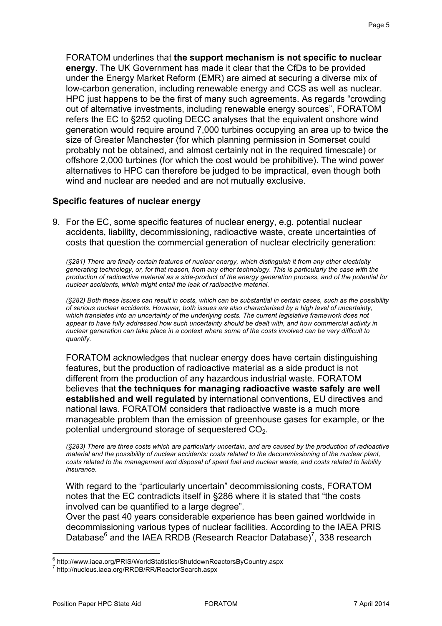FORATOM underlines that **the support mechanism is not specific to nuclear energy**. The UK Government has made it clear that the CfDs to be provided under the Energy Market Reform (EMR) are aimed at securing a diverse mix of low-carbon generation, including renewable energy and CCS as well as nuclear. HPC just happens to be the first of many such agreements. As regards "crowding out of alternative investments, including renewable energy sources", FORATOM refers the EC to §252 quoting DECC analyses that the equivalent onshore wind generation would require around 7,000 turbines occupying an area up to twice the size of Greater Manchester (for which planning permission in Somerset could probably not be obtained, and almost certainly not in the required timescale) or offshore 2,000 turbines (for which the cost would be prohibitive). The wind power alternatives to HPC can therefore be judged to be impractical, even though both wind and nuclear are needed and are not mutually exclusive.

#### **Specific features of nuclear energy**

9. For the EC, some specific features of nuclear energy, e.g. potential nuclear accidents, liability, decommissioning, radioactive waste, create uncertainties of costs that question the commercial generation of nuclear electricity generation:

*(§281) There are finally certain features of nuclear energy, which distinguish it from any other electricity generating technology, or, for that reason, from any other technology. This is particularly the case with the production of radioactive material as a side-product of the energy generation process, and of the potential for nuclear accidents, which might entail the leak of radioactive material.*

*(§282) Both these issues can result in costs, which can be substantial in certain cases, such as the possibility of serious nuclear accidents. However, both issues are also characterised by a high level of uncertainty, which translates into an uncertainty of the underlying costs. The current legislative framework does not appear to have fully addressed how such uncertainty should be dealt with, and how commercial activity in nuclear generation can take place in a context where some of the costs involved can be very difficult to quantify.*

FORATOM acknowledges that nuclear energy does have certain distinguishing features, but the production of radioactive material as a side product is not different from the production of any hazardous industrial waste. FORATOM believes that **the techniques for managing radioactive waste safely are well established and well regulated** by international conventions, EU directives and national laws. FORATOM considers that radioactive waste is a much more manageable problem than the emission of greenhouse gases for example, or the potential underground storage of sequestered  $CO<sub>2</sub>$ .

*(§283) There are three costs which are particularly uncertain, and are caused by the production of radioactive material and the possibility of nuclear accidents: costs related to the decommissioning of the nuclear plant, costs related to the management and disposal of spent fuel and nuclear waste, and costs related to liability insurance.*

With regard to the "particularly uncertain" decommissioning costs, FORATOM notes that the EC contradicts itself in §286 where it is stated that "the costs involved can be quantified to a large degree".

Over the past 40 years considerable experience has been gained worldwide in decommissioning various types of nuclear facilities. According to the IAEA PRIS Database $^6$  and the IAEA RRDB (Research Reactor Database)<sup>7</sup>, 338 research

 $^6$  http://www.iaea.org/PRIS/WorldStatistics/ShutdownReactorsByCountry.aspx<br> $^7$  http://nucleus.iaea.org/RRDB/RR/ReactorSearch.aspx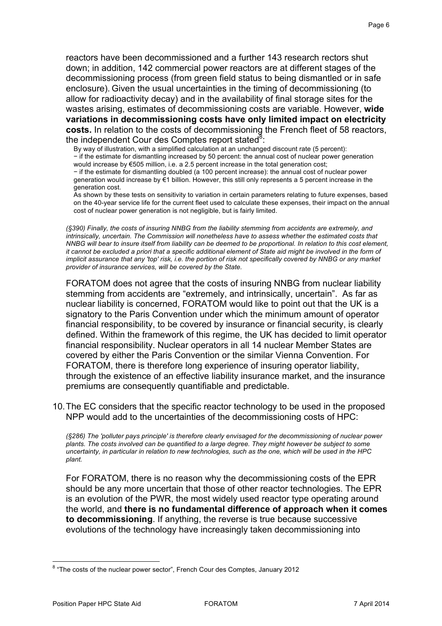reactors have been decommissioned and a further 143 research rectors shut down; in addition, 142 commercial power reactors are at different stages of the decommissioning process (from green field status to being dismantled or in safe enclosure). Given the usual uncertainties in the timing of decommissioning (to allow for radioactivity decay) and in the availability of final storage sites for the wastes arising, estimates of decommissioning costs are variable. However, **wide variations in decommissioning costs have only limited impact on electricity costs.** In relation to the costs of decommissioning the French fleet of 58 reactors, the independent Cour des Comptes report stated<sup>8</sup> :

By way of illustration, with a simplified calculation at an unchanged discount rate (5 percent): − if the estimate for dismantling increased by 50 percent: the annual cost of nuclear power generation

would increase by €505 million, i.e. a 2.5 percent increase in the total generation cost;

− if the estimate for dismantling doubled (a 100 percent increase): the annual cost of nuclear power generation would increase by €1 billion. However, this still only represents a 5 percent increase in the generation cost.

As shown by these tests on sensitivity to variation in certain parameters relating to future expenses, based on the 40-year service life for the current fleet used to calculate these expenses, their impact on the annual cost of nuclear power generation is not negligible, but is fairly limited.

*(§390) Finally, the costs of insuring NNBG from the liability stemming from accidents are extremely, and intrinsically, uncertain. The Commission will nonetheless have to assess whether the estimated costs that NNBG will bear to insure itself from liability can be deemed to be proportional. In relation to this cost element, it cannot be excluded a priori that a specific additional element of State aid might be involved in the form of implicit assurance that any 'top' risk, i.e. the portion of risk not specifically covered by NNBG or any market provider of insurance services, will be covered by the State.*

FORATOM does not agree that the costs of insuring NNBG from nuclear liability stemming from accidents are "extremely, and intrinsically, uncertain". As far as nuclear liability is concerned, FORATOM would like to point out that the UK is a signatory to the Paris Convention under which the minimum amount of operator financial responsibility, to be covered by insurance or financial security, is clearly defined. Within the framework of this regime, the UK has decided to limit operator financial responsibility. Nuclear operators in all 14 nuclear Member States are covered by either the Paris Convention or the similar Vienna Convention. For FORATOM, there is therefore long experience of insuring operator liability, through the existence of an effective liability insurance market, and the insurance premiums are consequently quantifiable and predictable.

10. The EC considers that the specific reactor technology to be used in the proposed NPP would add to the uncertainties of the decommissioning costs of HPC:

*(§286) The 'polluter pays principle' is therefore clearly envisaged for the decommissioning of nuclear power plants. The costs involved can be quantified to a large degree. They might however be subject to some uncertainty, in particular in relation to new technologies, such as the one, which will be used in the HPC plant.*

For FORATOM, there is no reason why the decommissioning costs of the EPR should be any more uncertain that those of other reactor technologies. The EPR is an evolution of the PWR, the most widely used reactor type operating around the world, and **there is no fundamental difference of approach when it comes to decommissioning**. If anything, the reverse is true because successive evolutions of the technology have increasingly taken decommissioning into

<sup>&</sup>lt;sup>8</sup> "The costs of the nuclear power sector", French Cour des Comptes, January 2012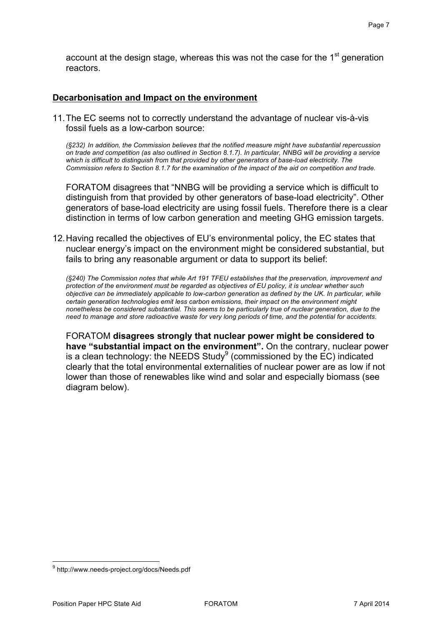account at the design stage, whereas this was not the case for the  $1<sup>st</sup>$  generation reactors.

### **Decarbonisation and Impact on the environment**

11. The EC seems not to correctly understand the advantage of nuclear vis-à-vis fossil fuels as a low-carbon source:

*(§232) In addition, the Commission believes that the notified measure might have substantial repercussion on trade and competition (as also outlined in Section 8.1.7). In particular, NNBG will be providing a service which is difficult to distinguish from that provided by other generators of base-load electricity. The Commission refers to Section 8.1.7 for the examination of the impact of the aid on competition and trade.*

FORATOM disagrees that "NNBG will be providing a service which is difficult to distinguish from that provided by other generators of base-load electricity". Other generators of base-load electricity are using fossil fuels. Therefore there is a clear distinction in terms of low carbon generation and meeting GHG emission targets.

12. Having recalled the objectives of EU's environmental policy, the EC states that nuclear energy's impact on the environment might be considered substantial, but fails to bring any reasonable argument or data to support its belief:

*(§240) The Commission notes that while Art 191 TFEU establishes that the preservation, improvement and protection of the environment must be regarded as objectives of EU policy, it is unclear whether such objective can be immediately applicable to low-carbon generation as defined by the UK. In particular, while certain generation technologies emit less carbon emissions, their impact on the environment might nonetheless be considered substantial. This seems to be particularly true of nuclear generation, due to the need to manage and store radioactive waste for very long periods of time, and the potential for accidents.*

FORATOM **disagrees strongly that nuclear power might be considered to have "substantial impact on the environment".** On the contrary, nuclear power is a clean technology: the NEEDS Study<sup>9</sup> (commissioned by the EC) indicated clearly that the total environmental externalities of nuclear power are as low if not lower than those of renewables like wind and solar and especially biomass (see diagram below).

<sup>9</sup> http://www.needs-project.org/docs/Needs.pdf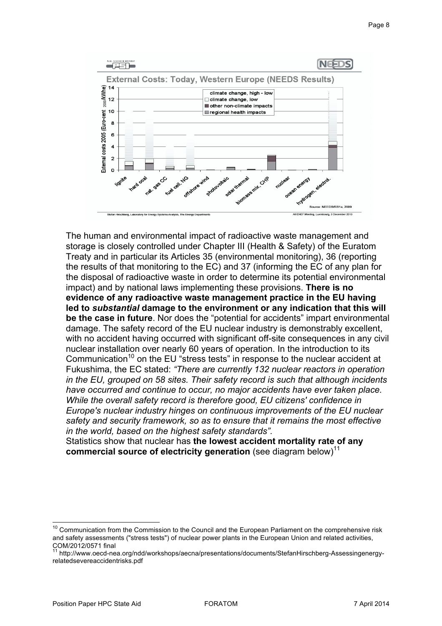

The human and environmental impact of radioactive waste management and storage is closely controlled under Chapter III (Health & Safety) of the Euratom Treaty and in particular its Articles 35 (environmental monitoring), 36 (reporting the results of that monitoring to the EC) and 37 (informing the EC of any plan for the disposal of radioactive waste in order to determine its potential environmental impact) and by national laws implementing these provisions. **There is no evidence of any radioactive waste management practice in the EU having led to** *substantial* **damage to the environment or any indication that this will be the case in future**. Nor does the "potential for accidents" impart environmental damage. The safety record of the EU nuclear industry is demonstrably excellent, with no accident having occurred with significant off-site consequences in any civil nuclear installation over nearly 60 years of operation. In the introduction to its Communication<sup>10</sup> on the EU "stress tests" in response to the nuclear accident at Fukushima, the EC stated: *"There are currently 132 nuclear reactors in operation in the EU, grouped on 58 sites. Their safety record is such that although incidents have occurred and continue to occur, no major accidents have ever taken place. While the overall safety record is therefore good, EU citizens' confidence in Europe's nuclear industry hinges on continuous improvements of the EU nuclear safety and security framework, so as to ensure that it remains the most effective in the world, based on the highest safety standards".* 

Statistics show that nuclear has **the lowest accident mortality rate of any commercial source of electricity generation** (see diagram below)<sup>11</sup>

<sup>&</sup>lt;sup>10</sup> Communication from the Commission to the Council and the European Parliament on the comprehensive risk and safety assessments ("stress tests") of nuclear power plants in the European Union and related activities, COM/2012/0571 final

<sup>&</sup>lt;sup>11</sup> http://www.oecd-nea.org/ndd/workshops/aecna/presentations/documents/StefanHirschberg-Assessingenergyrelatedsevereaccidentrisks.pdf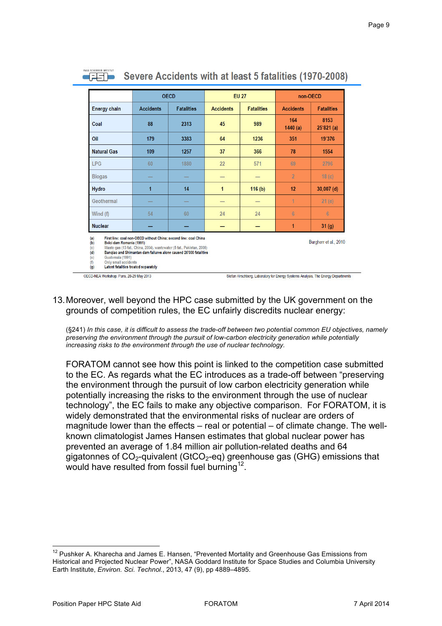|                                                                                                                | <b>OECD</b>                                                                                                                                                                                                    |                   | <b>EU 27</b>     |                   | non-OECD         |                       |
|----------------------------------------------------------------------------------------------------------------|----------------------------------------------------------------------------------------------------------------------------------------------------------------------------------------------------------------|-------------------|------------------|-------------------|------------------|-----------------------|
| <b>Energy chain</b>                                                                                            | <b>Accidents</b>                                                                                                                                                                                               | <b>Fatalities</b> | <b>Accidents</b> | <b>Fatalities</b> | <b>Accidents</b> | <b>Fatalities</b>     |
| Coal                                                                                                           | 88                                                                                                                                                                                                             | 2313              | 45               | 989               | 164<br>1440(a)   | 8153<br>25'821(a)     |
| Oil                                                                                                            | 179                                                                                                                                                                                                            | 3383              | 64               | 1236              | 351              | 19'376                |
| <b>Natural Gas</b>                                                                                             | 109                                                                                                                                                                                                            | 1257              | 37               | 366               | 78               | 1554                  |
| <b>LPG</b>                                                                                                     | 60                                                                                                                                                                                                             | 1880              | 22               | 571               | 69               | 2796                  |
| <b>Biogas</b>                                                                                                  |                                                                                                                                                                                                                |                   |                  |                   | $\overline{2}$   | 18 <sub>(c)</sub>     |
| <b>Hydro</b>                                                                                                   | 1                                                                                                                                                                                                              | 14                | 1                | 116(b)            | 12               | $30,007$ (d)          |
| Geothermal                                                                                                     |                                                                                                                                                                                                                |                   |                  |                   | 1                | 21(e)                 |
| Wind (f)                                                                                                       | 54                                                                                                                                                                                                             | 60                | 24               | 24                | 6                | $6\overline{6}$       |
| <b>Nuclear</b>                                                                                                 |                                                                                                                                                                                                                |                   |                  |                   | 1                | 31 (g)                |
| (a)<br>Belci dam Romania (1991)<br>(b)<br>(c)<br>(d)<br>Guatemala (1991)<br>(e)<br>Only small accidents<br>(f) | First line: coal non-OECD without China; second line: coal China<br>Waste qas (13 fat., China, 2004), wastewater (5 fat., Pakistan, 2008)<br>Bangiao and Shimantan dam failures alone caused 26'000 fatalities |                   |                  |                   |                  | Burgherr et al., 2010 |

## 13. Moreover, well beyond the HPC case submitted by the UK government on the grounds of competition rules, the EC unfairly discredits nuclear energy:

(§241) *In this case, it is difficult to assess the trade-off between two potential common EU objectives, namely preserving the environment through the pursuit of low-carbon electricity generation while potentially increasing risks to the environment through the use of nuclear technology.*

FORATOM cannot see how this point is linked to the competition case submitted to the EC. As regards what the EC introduces as a trade-off between "preserving the environment through the pursuit of low carbon electricity generation while potentially increasing the risks to the environment through the use of nuclear technology", the EC fails to make any objective comparison. For FORATOM, it is widely demonstrated that the environmental risks of nuclear are orders of magnitude lower than the effects – real or potential – of climate change. The wellknown climatologist James Hansen estimates that global nuclear power has prevented an average of 1.84 million air pollution-related deaths and 64 gigatonnes of  $CO<sub>2</sub>$ -quivalent (GtCO<sub>2</sub>-eq) greenhouse gas (GHG) emissions that would have resulted from fossil fuel burning<sup>12</sup>.

l <sup>12</sup> Pushker A. Kharecha and James E. Hansen, "Prevented Mortality and Greenhouse Gas Emissions from Historical and Projected Nuclear Power", NASA Goddard Institute for Space Studies and Columbia University Earth Institute, *Environ. Sci. Technol.*, 2013, 47 (9), pp 4889–4895.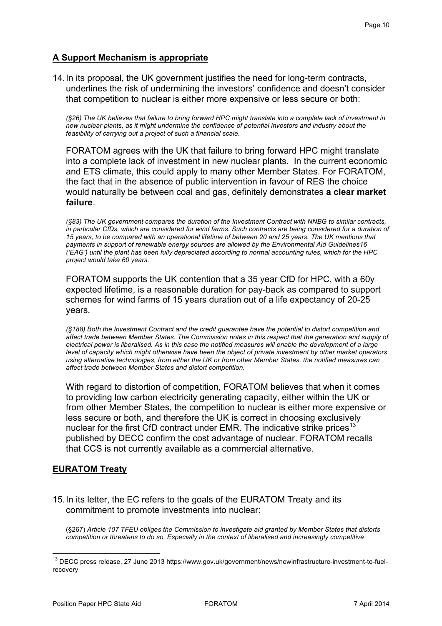## **A Support Mechanism is appropriate**

14. In its proposal, the UK government justifies the need for long-term contracts, underlines the risk of undermining the investors' confidence and doesn't consider that competition to nuclear is either more expensive or less secure or both:

*(§26) The UK believes that failure to bring forward HPC might translate into a complete lack of investment in new nuclear plants, as it might undermine the confidence of potential investors and industry about the feasibility of carrying out a project of such a financial scale.*

FORATOM agrees with the UK that failure to bring forward HPC might translate into a complete lack of investment in new nuclear plants. In the current economic and ETS climate, this could apply to many other Member States. For FORATOM, the fact that in the absence of public intervention in favour of RES the choice would naturally be between coal and gas, definitely demonstrates **a clear market failure**.

*(§83) The UK government compares the duration of the Investment Contract with NNBG to similar contracts,*  in particular CfDs, which are considered for wind farms. Such contracts are being considered for a duration of *15 years, to be compared with an operational lifetime of between 20 and 25 years. The UK mentions that payments in support of renewable energy sources are allowed by the Environmental Aid Guidelines16 ('EAG') until the plant has been fully depreciated according to normal accounting rules, which for the HPC project would take 60 years.*

FORATOM supports the UK contention that a 35 year CfD for HPC, with a 60y expected lifetime, is a reasonable duration for pay-back as compared to support schemes for wind farms of 15 years duration out of a life expectancy of 20-25 years.

*(§188) Both the Investment Contract and the credit guarantee have the potential to distort competition and affect trade between Member States. The Commission notes in this respect that the generation and supply of electrical power is liberalised. As in this case the notified measures will enable the development of a large level of capacity which might otherwise have been the object of private investment by other market operators using alternative technologies, from either the UK or from other Member States, the notified measures can affect trade between Member States and distort competition.*

With regard to distortion of competition, FORATOM believes that when it comes to providing low carbon electricity generating capacity, either within the UK or from other Member States, the competition to nuclear is either more expensive or less secure or both, and therefore the UK is correct in choosing exclusively nuclear for the first CfD contract under EMR. The indicative strike prices<sup>13</sup> published by DECC confirm the cost advantage of nuclear. FORATOM recalls that CCS is not currently available as a commercial alternative.

## **EURATOM Treaty**

l

15. In its letter, the EC refers to the goals of the EURATOM Treaty and its commitment to promote investments into nuclear:

(§267) *Article 107 TFEU obliges the Commission to investigate aid granted by Member States that distorts competition or threatens to do so. Especially in the context of liberalised and increasingly competitive* 

<sup>&</sup>lt;sup>13</sup> DECC press release, 27 June 2013 https://www.gov.uk/government/news/newinfrastructure-investment-to-fuelrecovery